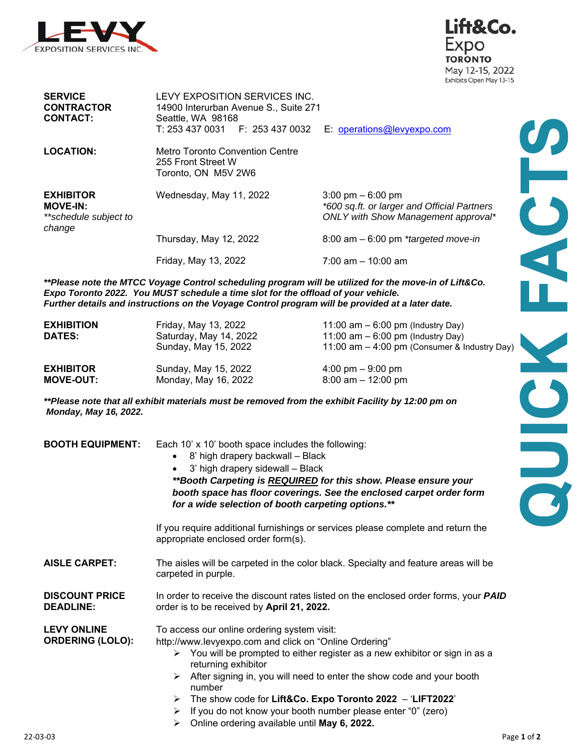



IP

| <b>SERVICE</b><br><b>CONTRACTOR</b><br><b>CONTACT:</b>                 | LEVY EXPOSITION SERVICES INC.<br>14900 Interurban Avenue S., Suite 271<br>Seattle, WA 98168<br>T: 253 437 0031    F: 253 437 0032 | E: operations@levyexpo.com                                                                                                |
|------------------------------------------------------------------------|-----------------------------------------------------------------------------------------------------------------------------------|---------------------------------------------------------------------------------------------------------------------------|
| <b>LOCATION:</b>                                                       | Metro Toronto Convention Centre<br>255 Front Street W<br>Toronto, ON M5V 2W6                                                      |                                                                                                                           |
| <b>EXHIBITOR</b><br><b>MOVE-IN:</b><br>**schedule subject to<br>change | Wednesday, May 11, 2022                                                                                                           | $3:00 \text{ pm} - 6:00 \text{ pm}$<br>*600 sq.ft. or larger and Official Partners<br>ONLY with Show Management approval* |
|                                                                        | Thursday, May 12, 2022                                                                                                            | $8:00$ am $-6:00$ pm *targeted move-in                                                                                    |
|                                                                        | Friday, May 13, 2022                                                                                                              | $7:00$ am $-10:00$ am                                                                                                     |

*\*\*Please note the MTCC Voyage Control scheduling program will be utilized for the move-in of Lift&Co. Expo Toronto 2022. You MUST schedule a time slot for the offload of your vehicle. Further details and instructions on the Voyage Control program will be provided at a later date.* 

| <b>EXHIBITION</b><br><b>DATES:</b> | Friday, May 13, 2022<br>Saturday, May 14, 2022<br>Sunday, May 15, 2022 | 11:00 am $-$ 6:00 pm (Industry Day)<br>11:00 am $-$ 6:00 pm (Industry Day)<br>11:00 am $-$ 4:00 pm (Consumer & Industry Day) |  |
|------------------------------------|------------------------------------------------------------------------|------------------------------------------------------------------------------------------------------------------------------|--|
| <b>EXHIBITOR</b>                   | Sunday, May 15, 2022                                                   | $4:00 \text{ pm} - 9:00 \text{ pm}$                                                                                          |  |
| <b>MOVE-OUT:</b>                   | Monday, May 16, 2022                                                   | $8:00$ am $-12:00$ pm                                                                                                        |  |

*\*\*Please note that all exhibit materials must be removed from the exhibit Facility by 12:00 pm on Monday, May 16, 2022.* 

| <b>BOOTH EQUIPMENT:</b>                       | Each 10' x 10' booth space includes the following:<br>8' high drapery backwall - Black<br>3' high drapery sidewall - Black<br>**Booth Carpeting is REQUIRED for this show. Please ensure your<br>booth space has floor coverings. See the enclosed carpet order form<br>for a wide selection of booth carpeting options.**                                                                                                                                                         |  |
|-----------------------------------------------|------------------------------------------------------------------------------------------------------------------------------------------------------------------------------------------------------------------------------------------------------------------------------------------------------------------------------------------------------------------------------------------------------------------------------------------------------------------------------------|--|
|                                               | If you require additional furnishings or services please complete and return the<br>appropriate enclosed order form(s).                                                                                                                                                                                                                                                                                                                                                            |  |
| <b>AISLE CARPET:</b>                          | The aisles will be carpeted in the color black. Specialty and feature areas will be<br>carpeted in purple.                                                                                                                                                                                                                                                                                                                                                                         |  |
| <b>DISCOUNT PRICE</b><br><b>DEADLINE:</b>     | In order to receive the discount rates listed on the enclosed order forms, your <b>PAID</b><br>order is to be received by April 21, 2022.                                                                                                                                                                                                                                                                                                                                          |  |
| <b>LEVY ONLINE</b><br><b>ORDERING (LOLO):</b> | To access our online ordering system visit:<br>http://www.levyexpo.com and click on "Online Ordering"<br>$\triangleright$ You will be prompted to either register as a new exhibitor or sign in as a<br>returning exhibitor<br>$\triangleright$ After signing in, you will need to enter the show code and your booth<br>number<br>$\triangleright$ The show code for Lift&Co. Expo Toronto 2022 - 'LIFT2022'<br>If you do not know your booth number please enter "0" (zero)<br>≻ |  |

Online ordering available until **May 6, 2022.**